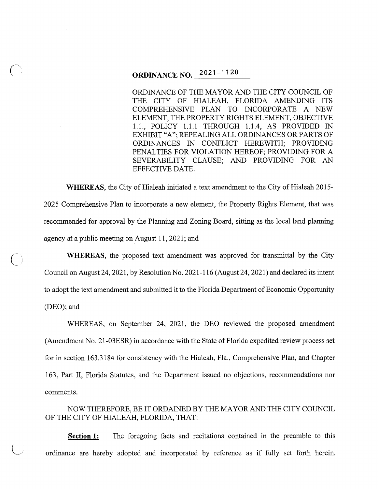# **ORDINANCE NO.**  $2021 - 120$

ORDINANCE OF THE MAYOR AND THE CITY COUNCIL OF THE CITY OF HIALEAH, FLORIDA AMENDING ITS COMPREHENSIVE PLAN TO INCORPORATE A NEW ELEMENT, THE PROPERTY RIGHTS ELEMENT, OBJECTIVE 1.1., POLICY 1.1.1 THROUGH 1.1.4, AS PROVIDED IN EXHIBIT "A"; REPEALING ALL ORDINANCES OR PARTS OF ORDINANCES IN CONFLICT HEREWITH; PROVIDING PENALTIES FOR VIOLATION HEREOF; PROVIDING FOR A SEVERABILITY CLAUSE; AND PROVIDING FOR AN EFFECTIVE DATE.

**WHEREAS,** the City of Hialeah initiated a text amendment to the City of Hialeah 2015- 2025 Comprehensive Plan to incorporate a new element, the Property Rights Element, that was recommended for approval by the Planning and Zoning Board, sitting as the local land planning agency at a public meeting on August 11, 2021; and

**WHEREAS,** the proposed text amendment was approved for transmittal by the City Council on August 24, 2021, by Resolution No. 2021-116 (August 24, 2021) and declared its intent to adopt the text amendment and submitted it to the Florida Department of Economic Opportunity (DEO); and

 $\overline{C}$ 

*(\_j* 

WHEREAS, on September 24, 2021, the DEO reviewed the proposed amendment (Amendment No. 21-03ESR) in accordance with the State of Florida expedited review process set for in section 163.3184 for consistency with the Hialeah, Fla., Comprehensive Plan, and Chapter 163, Part II, Florida Statutes, and the Department issued no objections, recommendations nor comments.

NOW THEREFORE, BE IT ORDAINED BY THE MAYOR AND THE CITY COUNCIL OF THE CITY OF HIALEAH, FLORIDA, THAT:

**Section 1:** The foregoing facts and recitations contained in the preamble to this ordinance are hereby adopted and incorporated by reference as if fully set forth herein.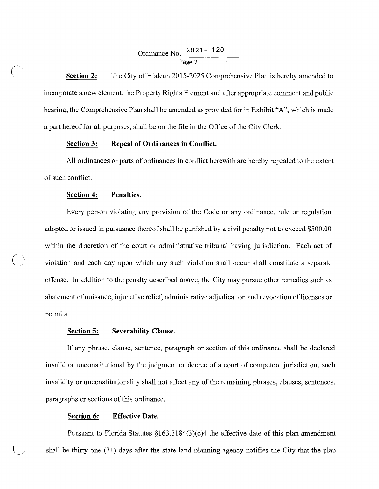## Ordinance No. 2021 - 120 Page 2

**Section 2:** The City of Hialeah 2015-2025 Comprehensive Plan is hereby amended to incorporate a new element, the Property Rights Element and after appropriate comment and public hearing, the Comprehensive Plan shall be amended as provided for in Exhibit "A", which is made a part hereof for all purposes, shall be on the file in the Office of the City Clerk.

#### **Section 3: Repeal of Ordinances in Conflict.**

All ordinances or parts of ordinances in conflict herewith are hereby repealed to the extent of such conflict.

#### **Section 4: Penalties.**

Every person violating any provision of the Code or any ordinance, rule or regulation adopted or issued in pursuance thereof shall be punished by a civil penalty not to exceed \$500.00 within the discretion of the court or administrative tribunal having jurisdiction. Each act of ( ,' violation and each day upon which any such violation shall occur shall constitute a separate offense. In addition to the penalty described above, the City may pursue other remedies such as abatement of nuisance, injunctive relief, administrative adjudication and revocation of licenses or permits.

#### **Section 5: Severability Clause.**

If any phrase, clause, sentence, paragraph or section of this ordinance shall be declared invalid or unconstitutional by the judgment or decree of a court of competent jurisdiction, such invalidity or unconstitutionality shall not affect any of the remaining phrases, clauses, sentences, paragraphs or sections of this ordinance.

#### **Section 6: Effective Date.**

Pursuant to Florida Statutes  $\S163.3184(3)(c)4$  the effective date of this plan amendment shall be thirty-one  $(31)$  days after the state land planning agency notifies the City that the plan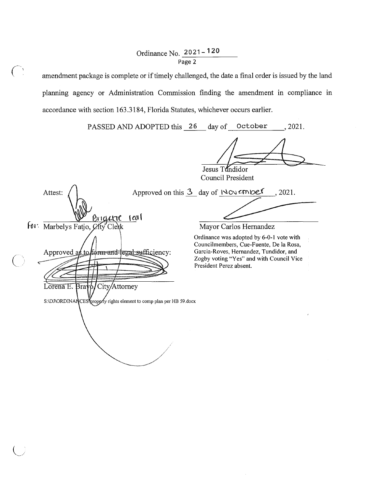### Ordinance No. 2021- 120 Page 2

amendment package is complete or if timely challenged, the date a final order is issued by the land planning agency or Administration Commission finding the amendment in compliance in accordance with section 163 .3184, Florida Statutes, whichever occurs earlier.

PASSED AND ADOPTED this 26 day of October , 2021.

 $\bigwedge$ Uesus Tundidor  $\bigwedge$ 

Council President

Approved on this  $3$  day of  $\sqrt{\circ}$  mbes , 2021. Attest: seas for: Marbelys Fatjo, City Clerk  $\overline{O}$ Approved as form-and-legal-sufficiency: tc Lorena E. Bra City/Attorney S:\DJ\ORDINANCES\properly rights element to comp plan per HB 59.docx

Mayor Carlos Hernandez

Ordinance was adopted by 6-0-1 vote with Councilmembers, Cue-Fuente, De la Rosa, Garcia-Roves, Hernandez, Tundidor, and Zogby voting "Yes" and with Council Vice President Perez absent.